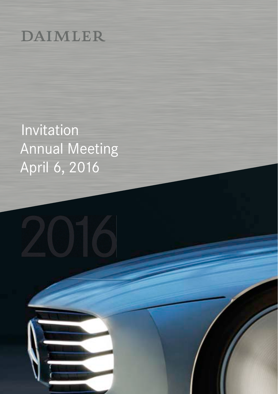# **DAIMLER**

**Invitation** Annual Meeting April 6, 2016

2016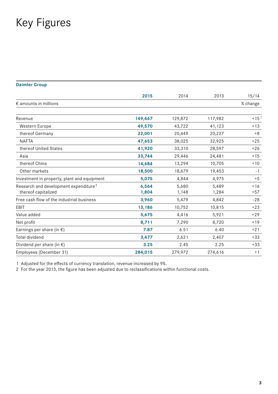## Key Figures

#### **Daimler Group**

|                                                                          | 2015           | 2014           | 2013           | 15/14          |
|--------------------------------------------------------------------------|----------------|----------------|----------------|----------------|
| $\epsilon$ amounts in millions                                           |                |                |                | % change       |
| Revenue                                                                  | 149,467        | 129,872        | 117,982        | $+151$         |
| Western Europe                                                           | 49,570         | 43,722         | 41,123         | $+13$          |
| thereof Germany                                                          | 22,001         | 20,449         | 20,227         | $+8$           |
| <b>NAFTA</b>                                                             | 47,653         | 38,025         | 32,925         | $+25$          |
| thereof United States                                                    | 41,920         | 33,310         | 28,597         | $+26$          |
| Asia                                                                     | 33,744         | 29,446         | 24,481         | $+15$          |
| thereof China                                                            | 14,684         | 13,294         | 10,705         | $+10$          |
| Other markets                                                            | 18,500         | 18,679         | 19,453         | $-1$           |
| Investment in property, plant and equipment                              | 5,075          | 4,844          | 4,975          | $+5$           |
| Research and development expenditure <sup>2</sup><br>thereof capitalized | 6,564<br>1,804 | 5,680<br>1,148 | 5,489<br>1,284 | $+16$<br>$+57$ |
| Free cash flow of the industrial business                                | 3,960          | 5,479          | 4,842          | $-28$          |
| EBIT                                                                     | 13,186         | 10,752         | 10,815         | $+23$          |
| Value added                                                              | 5,675          | 4,416          | 5,921          | $+29$          |
| Net profit                                                               | 8,711          | 7,290          | 8,720          | $+19$          |
| Earnings per share (in $\epsilon$ )                                      | 7.87           | 6.51           | 6.40           | $+21$          |
| Total dividend                                                           | 3,477          | 2,621          | 2,407          | $+33$          |
| Dividend per share (in $\epsilon$ )                                      | 3.25           | 2.45           | 2.25           | $+33$          |
| Employees (December 31)                                                  | 284,015        | 279,972        | 274,616        | $+1$           |

1 Adjusted for the effects of currency translation, revenue increased by 9%.

2 For the year 2013, the figure has been adjusted due to reclassifications within functional costs.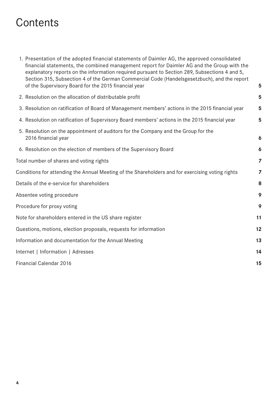## **Contents**

| 1. Presentation of the adopted financial statements of Daimler AG, the approved consolidated  |    |
|-----------------------------------------------------------------------------------------------|----|
| financial statements, the combined management report for Daimler AG and the Group with the    |    |
| explanatory reports on the information required pursuant to Section 289, Subsections 4 and 5, |    |
| Section 315, Subsection 4 of the German Commercial Code (Handelsgesetzbuch), and the report   |    |
| of the Supervisory Board for the 2015 financial year                                          | -5 |

| 2. Resolution on the allocation of distributable profit                                                   | 5              |  |
|-----------------------------------------------------------------------------------------------------------|----------------|--|
| 3. Resolution on ratification of Board of Management members' actions in the 2015 financial year          |                |  |
| 4. Resolution on ratification of Supervisory Board members' actions in the 2015 financial year            | 5              |  |
| 5. Resolution on the appointment of auditors for the Company and the Group for the<br>2016 financial year | 6              |  |
| 6. Resolution on the election of members of the Supervisory Board                                         | 6              |  |
| Total number of shares and voting rights                                                                  | $\overline{z}$ |  |
| Conditions for attending the Annual Meeting of the Shareholders and for exercising voting rights          | $\overline{z}$ |  |
| Details of the e-service for shareholders                                                                 | 8              |  |
| Absentee voting procedure                                                                                 | 9              |  |
| Procedure for proxy voting                                                                                | 9              |  |
| Note for shareholders entered in the US share register                                                    | 11             |  |
| Questions, motions, election proposals, requests for information                                          | 12             |  |
| Information and documentation for the Annual Meeting                                                      | 13             |  |
| Internet   Information   Adresses                                                                         | 14             |  |
| Financial Calendar 2016                                                                                   | 15             |  |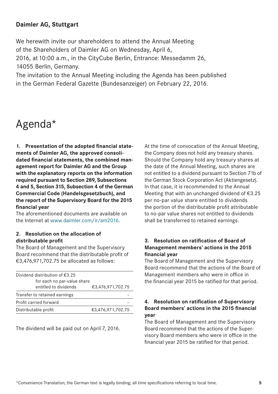## <span id="page-3-0"></span>**Daimler AG, Stuttgart**

We herewith invite our shareholders to attend the Annual Meeting of the Shareholders of Daimler AG on Wednesday, April 6, 2016, at 10:00 a.m., in the CityCube Berlin, Entrance: Messedamm 26, 14055 Berlin, Germany.

The invitation to the Annual Meeting including the Agenda has been published in the German Federal Gazette (Bundesanzeiger) on February 22, 2016.

## Agenda\*

**1. Presentation of the adopted financial statements of Daimler AG, the approved consolidated financial statements, the combined management report for Daimler AG and the Group with the explanatory reports on the information required pursuant to Section 289, Subsections 4 and 5, Section 315, Subsection 4 of the German Commercial Code (Handelsgesetzbuch), and the report of the Supervisory Board for the 2015 financial year**

The aforementioned documents are available on the Internet at www.daimler.com/ir/am2016.

#### **2. Resolution on the allocation of distributable profit**

The Board of Management and the Supervisory Board recommend that the distributable profit of €3,476,971,702.75 be allocated as follows:

| Dividend distribution of $€3.25$                 |  |  |  |  |
|--------------------------------------------------|--|--|--|--|
| for each no par-value share<br>€3,476,971,702.75 |  |  |  |  |
|                                                  |  |  |  |  |
|                                                  |  |  |  |  |
| €3,476,971,702.75                                |  |  |  |  |
|                                                  |  |  |  |  |

The dividend will be paid out on April 7, 2016.

At the time of convocation of the Annual Meeting, the Company does not hold any treasury shares. Should the Company hold any treasury shares at the date of the Annual Meeting, such shares are not entitled to a dividend pursuant to Section 71b of the German Stock Corporation Act (Aktiengesetz). In that case, it is recommended to the Annual Meeting that with an unchanged dividend of €3.25 per no-par value share entitled to dividends the portion of the distributable profit attributable to no-par value shares not entitled to dividends shall be transferred to retained earnings.

### **3. Resolution on ratification of Board of Management members' actions in the 2015 financial year**

The Board of Management and the Supervisory Board recommend that the actions of the Board of Management members who were in office in the financial year 2015 be ratified for that period.

### **4. Resolution on ratification of Supervisory Board members' actions in the 2015 financial year**

The Board of Management and the Supervisory Board recommend that the actions of the Supervisory Board members who were in office in the financial year 2015 be ratified for that period.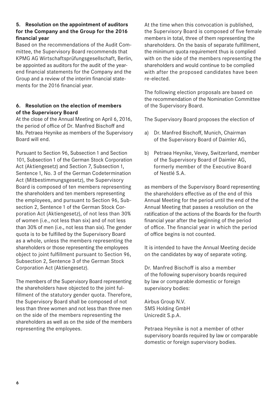## <span id="page-4-0"></span>**5. Resolution on the appointment of auditors for the Company and the Group for the 2016 financial year**

Based on the recommendations of the Audit Committee, the Supervisory Board recommends that KPMG AG Wirtschaftsprüfungsgesellschaft, Berlin, be appointed as auditors for the audit of the yearend financial statements for the Company and the Group and a review of the interim financial statements for the 2016 financial year.

## **6. Resolution on the election of members of the Supervisory Board**

At the close of the Annual Meeting on April 6, 2016, the period of office of Dr. Manfred Bischoff and Ms. Petraea Heynike as members of the Supervisory Board will end.

Pursuant to Section 96, Subsection 1 and Section 101, Subsection 1 of the German Stock Corporation Act (Aktiengesetz) and Section 7, Subsection 1, Sentence 1, No. 3 of the German Codetermination Act (Mitbestimmungsgesetz), the Supervisory Board is composed of ten members representing the shareholders and ten members representing the employees, and pursuant to Section 96, Subsection 2, Sentence 1 of the German Stock Corporation Act (Aktiengesetz), of not less than 30% of women (i.e., not less than six) and of not less than 30% of men (i.e., not less than six). The gender quota is to be fulfilled by the Supervisory Board as a whole, unless the members representing the shareholders or those representing the employees object to joint fulfillment pursuant to Section 96, Subsection 2, Sentence 3 of the German Stock Corporation Act (Aktiengesetz).

The members of the Supervisory Board representing the shareholders have objected to the joint fulfillment of the statutory gender quota. Therefore, the Supervisory Board shall be composed of not less than three women and not less than three men on the side of the members representing the shareholders as well as on the side of the members representing the employees.

At the time when this convocation is published, the Supervisory Board is composed of five female members in total, three of them representing the shareholders. On the basis of separate fulfillment, the minimum quota requirement thus is complied with on the side of the members representing the shareholders and would continue to be complied with after the proposed candidates have been re-elected.

The following election proposals are based on the recommendation of the Nomination Committee of the Supervisory Board.

The Supervisory Board proposes the election of

- a) Dr. Manfred Bischoff, Munich, Chairman of the Supervisory Board of Daimler AG,
- b) Petraea Heynike, Vevey, Switzerland, member of the Supervisory Board of Daimler AG, formerly member of the Executive Board of Nestlé S.A.

as members of the Supervisory Board representing the shareholders effective as of the end of this Annual Meeting for the period until the end of the Annual Meeting that passes a resolution on the ratification of the actions of the Boards for the fourth financial year after the beginning of the period of office. The financial year in which the period of office begins is not counted.

It is intended to have the Annual Meeting decide on the candidates by way of separate voting.

Dr. Manfred Bischoff is also a member of the following supervisory boards required by law or comparable domestic or foreign supervisory bodies:

Airbus Group N.V. SMS Holding GmbH Unicredit S.p.A.

Petraea Heynike is not a member of other supervisory boards required by law or comparable domestic or foreign supervisory bodies.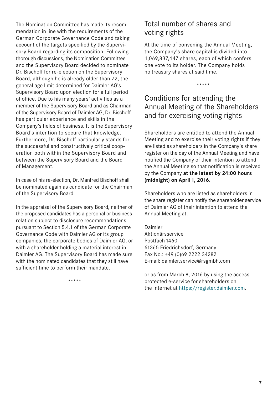<span id="page-5-0"></span>The Nomination Committee has made its recommendation in line with the requirements of the German Corporate Governance Code and taking account of the targets specified by the Supervisory Board regarding its composition. Following thorough discussions, the Nomination Committee and the Supervisory Board decided to nominate Dr. Bischoff for re-election on the Supervisory Board, although he is already older than 72, the general age limit determined for Daimler AG's Supervisory Board upon election for a full period of office. Due to his many years' activities as a member of the Supervisory Board and as Chairman of the Supervisory Board of Daimler AG, Dr. Bischoff has particular experience and skills in the Company's fields of business. It is the Supervisory Board's intention to secure that knowledge. Furthermore, Dr. Bischoff particularly stands for the successful and constructively critical cooperation both within the Supervisory Board and between the Supervisory Board and the Board of Management.

In case of his re-election, Dr. Manfred Bischoff shall be nominated again as candidate for the Chairman of the Supervisory Board.

In the appraisal of the Supervisory Board, neither of the proposed candidates has a personal or business relation subject to disclosure recommendations pursuant to Section 5.4.1 of the German Corporate Governance Code with Daimler AG or its group companies, the corporate bodies of Daimler AG, or with a shareholder holding a material interest in Daimler AG. The Supervisory Board has made sure with the nominated candidates that they still have sufficient time to perform their mandate.

Total number of shares and voting rights

At the time of convening the Annual Meeting, the Company's share capital is divided into 1,069,837,447 shares, each of which confers one vote to its holder. The Company holds no treasury shares at said time.

\*\*\*\*\*

## Conditions for attending the Annual Meeting of the Shareholders and for exercising voting rights

Shareholders are entitled to attend the Annual Meeting and to exercise their voting rights if they are listed as shareholders in the Company's share register on the day of the Annual Meeting and have notified the Company of their intention to attend the Annual Meeting so that notification is received by the Company **at the latest by 24:00 hours (midnight) on April1, 2016.**

Shareholders who are listed as shareholders in the share register can notify the shareholder service of Daimler AG of their intention to attend the Annual Meeting at:

Daimler

Aktionärsservice Postfach 1460 61365 Friedrichsdorf, Germany Fax No.: +49 (0)69 2222 34282 E-mail: daimler.service@rsgmbh.com

or as from March 8, 2016 by using the accessprotected e-service for shareholders on the Internet at https://register.daimler.com.

\*\*\*\*\*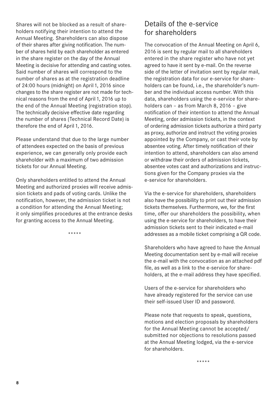<span id="page-6-0"></span>Shares will not be blocked as a result of shareholders notifying their intention to attend the Annual Meeting. Shareholders can also dispose of their shares after giving notification. The number of shares held by each shareholder as entered in the share register on the day of the Annual Meeting is decisive for attending and casting votes. Said number of shares will correspond to the number of shares as at the registration deadline of 24:00 hours (midnight) on April 1, 2016 since changes to the share register are not made for technical reasons from the end of April 1, 2016 up to the end of the Annual Meeting (registration stop). The technically decisive effective date regarding the number of shares (Technical Record Date) is therefore the end of April 1, 2016.

Please understand that due to the large number of attendees expected on the basis of previous experience, we can generally only provide each shareholder with a maximum of two admission tickets for our Annual Meeting.

Only shareholders entitled to attend the Annual Meeting and authorized proxies will receive admission tickets and pads of voting cards. Unlike the notification, however, the admission ticket is not a condition for attending the Annual Meeting; it only simplifies procedures at the entrance desks for granting access to the Annual Meeting.

\*\*\*\*\*

## Details of the e-service for shareholders

The convocation of the Annual Meeting on April 6, 2016 is sent by regular mail to all shareholders entered in the share register who have not yet agreed to have it sent by e-mail. On the reverse side of the letter of invitation sent by regular mail, the registration data for our e-service for shareholders can be found, i.e., the shareholder's number and the individual access number. With this data, shareholders using the e-service for shareholders can – as from March 8, 2016 – give notification of their intention to attend the Annual Meeting, order admission tickets, in the context of ordering admission tickets authorize a third party as proxy, authorize and instruct the voting proxies appointed by the Company, or cast their vote by absentee voting. After timely notification of their intention to attend, shareholders can also amend or withdraw their orders of admission tickets, absentee votes cast and authorizations and instructions given for the Company proxies via the e-service for shareholders.

Via the e-service for shareholders, shareholders also have the possibility to print out their admission tickets themselves. Furthermore, we, for the first time, offer our shareholders the possibility, when using the e-service for shareholders, to have their admission tickets sent to their indicated e-mail addresses as a mobile ticket comprising a QR code.

Shareholders who have agreed to have the Annual Meeting documentation sent by e-mail will receive the e-mail with the convocation as an attached pdf file, as well as a link to the e-service for shareholders, at the e-mail address they have specified.

Users of the e-service for shareholders who have already registered for the service can use their self-issued User ID and password.

Please note that requests to speak, questions, motions and election proposals by shareholders for the Annual Meeting cannot be accepted/ submitted nor objections to resolutions passed at the Annual Meeting lodged, via the e-service for shareholders.

\*\*\*\*\*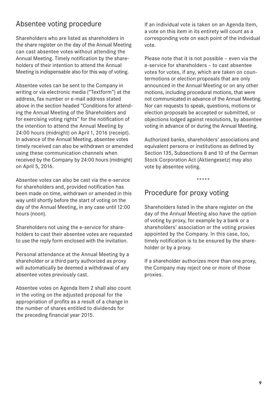## <span id="page-7-0"></span>Absentee voting procedure

Shareholders who are listed as shareholders in the share register on the day of the Annual Meeting can cast absentee votes without attending the Annual Meeting. Timely notification by the shareholders of their intention to attend the Annual Meeting is indispensable also for this way of voting.

Absentee votes can be sent to the Company in writing or via electronic media ("Textform") at the address, fax number or e-mail address stated above in the section headed "Conditions for attending the Annual Meeting of the Shareholders and for exercising voting rights" for the notification of the intention to attend the Annual Meeting by 24:00 hours (midnight) on April 1, 2016 (receipt). In advance of the Annual Meeting, absentee votes timely received can also be withdrawn or amended using these communication channels when received by the Company by 24:00 hours (midnight) on April 5, 2016.

Absentee votes can also be cast via the e-service for shareholders and, provided notification has been made on time, withdrawn or amended in this way until shortly before the start of voting on the day of the Annual Meeting, in any case until 12:00 hours (noon).

Shareholders not using the e-service for shareholders to cast their absentee votes are requested to use the reply form enclosed with the invitation.

Personal attendance at the Annual Meeting by a shareholder or a third party authorized as proxy will automatically be deemed a withdrawal of any absentee votes previously cast.

Absentee votes on Agenda Item 2 shall also count in the voting on the adjusted proposal for the appropriation of profits as a result of a change in the number of shares entitled to dividends for the preceding financial year 2015.

If an individual vote is taken on an Agenda Item, a vote on this item in its entirety will count as a corresponding vote on each point of the individual vote.

Please note that it is not possible – even via the e-service for shareholders – to cast absentee votes for votes, if any, which are taken on countermotions or election proposals that are only announced in the Annual Meeting or on any other motions, including procedural motions, that were not communicated in advance of the Annual Meeting. Nor can requests to speak, questions, motions or election proposals be accepted or submitted, or objections lodged against resolutions, by absentee voting in advance of or during the Annual Meeting.

Authorized banks, shareholders' associations and equivalent persons or institutions as defined by Section 135, Subsections 8 and 10 of the German Stock Corporation Act (Aktiengesetz) may also vote by absentee voting.

\*\*\*\*\*

## Procedure for proxy voting

Shareholders listed in the share register on the day of the Annual Meeting also have the option of voting by proxy, for example by a bank or a shareholders' association or the voting proxies appointed by the Company. In this case, too, timely notification is to be ensured by the shareholder or by a proxy.

If a shareholder authorizes more than one proxy, the Company may reject one or more of those proxies.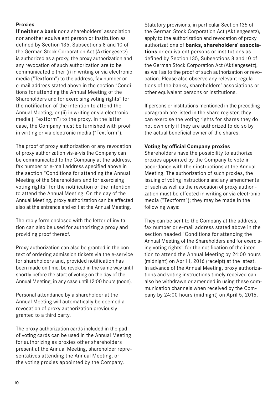## **Proxies**

**If neither a bank** nor a shareholders' association nor another equivalent person or institution as defined by Section 135, Subsections 8 and 10 of the German Stock Corporation Act (Aktiengesetz) is authorized as a proxy, the proxy authorization and any revocation of such authorization are to be communicated either (i) in writing or via electronic media ("Textform") to the address, fax number or e-mail address stated above in the section "Conditions for attending the Annual Meeting of the Shareholders and for exercising voting rights" for the notification of the intention to attend the Annual Meeting, or (ii) in writing or via electronic media ("Textform") to the proxy. In the latter case, the Company must be furnished with proof in writing or via electronic media ("Textform").

The proof of proxy authorization or any revocation of proxy authorization vis-à-vis the Company can be communicated to the Company at the address, fax number or e-mail address specified above in the section "Conditions for attending the Annual Meeting of the Shareholders and for exercising voting rights" for the notification of the intention to attend the Annual Meeting. On the day of the Annual Meeting, proxy authorization can be effected also at the entrance and exit at the Annual Meeting.

The reply form enclosed with the letter of invitation can also be used for authorizing a proxy and providing proof thereof.

Proxy authorization can also be granted in the context of ordering admission tickets via the e-service for shareholders and, provided notification has been made on time, be revoked in the same way until shortly before the start of voting on the day of the Annual Meeting, in any case until 12:00 hours (noon).

Personal attendance by a shareholder at the Annual Meeting will automatically be deemed a revocation of proxy authorization previously granted to a third party.

The proxy authorization cards included in the pad of voting cards can be used in the Annual Meeting for authorizing as proxies other shareholders present at the Annual Meeting, shareholder representatives attending the Annual Meeting, or the voting proxies appointed by the Company.

Statutory provisions, in particular Section 135 of the German Stock Corporation Act (Aktiengesetz), apply to the authorization and revocation of proxy authorizations of **banks, shareholders' associations** or equivalent persons or institutions as defined by Section 135, Subsections 8 and 10 of the German Stock Corporation Act (Aktiengesetz), as well as to the proof of such authorization or revocation. Please also observe any relevant regulations of the banks, shareholders' associations or other equivalent persons or institutions.

If persons or institutions mentioned in the preceding paragraph are listed in the share register, they can exercise the voting rights for shares they do not own only if they are authorized to do so by the actual beneficial owner of the shares.

### **Voting by official Company proxies**

Shareholders have the possibility to authorize proxies appointed by the Company to vote in accordance with their instructions at the Annual Meeting. The authorization of such proxies, the issuing of voting instructions and any amendments of such as well as the revocation of proxy authorization must be effected in writing or via electronic media ("Textform"); they may be made in the following ways:

They can be sent to the Company at the address, fax number or e-mail address stated above in the section headed "Conditions for attending the Annual Meeting of the Shareholders and for exercising voting rights" for the notification of the intention to attend the Annual Meeting by 24:00 hours (midnight) on April 1, 2016 (receipt) at the latest. In advance of the Annual Meeting, proxy authorizations and voting instructions timely received can also be withdrawn or amended in using these communication channels when received by the Company by 24:00 hours (midnight) on April 5, 2016.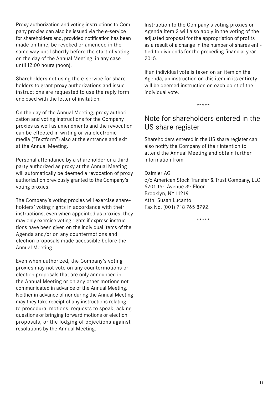<span id="page-9-0"></span>Proxy authorization and voting instructions to Company proxies can also be issued via the e-service for shareholders and, provided notification has been made on time, be revoked or amended in the same way until shortly before the start of voting on the day of the Annual Meeting, in any case until 12:00 hours (noon).

Shareholders not using the e-service for shareholders to grant proxy authorizations and issue instructions are requested to use the reply form enclosed with the letter of invitation.

On the day of the Annual Meeting, proxy authorization and voting instructions for the Company proxies as well as amendments and the revocation can be effected in writing or via electronic media ("Textform") also at the entrance and exit at the Annual Meeting.

Personal attendance by a shareholder or a third party authorized as proxy at the Annual Meeting will automatically be deemed a revocation of proxy authorization previously granted to the Company's voting proxies.

The Company's voting proxies will exercise shareholders' voting rights in accordance with their instructions; even when appointed as proxies, they may only exercise voting rights if express instructions have been given on the individual items of the Agenda and/or on any countermotions and election proposals made accessible before the Annual Meeting.

Even when authorized, the Company's voting proxies may not vote on any countermotions or election proposals that are only announced in the Annual Meeting or on any other motions not communicated in advance of the Annual Meeting. Neither in advance of nor during the Annual Meeting may they take receipt of any instructions relating to procedural motions, requests to speak, asking questions or bringing forward motions or election proposals, or the lodging of objections against resolutions by the Annual Meeting.

Instruction to the Company's voting proxies on Agenda Item 2 will also apply in the voting of the adjusted proposal for the appropriation of profits as a result of a change in the number of shares entitled to dividends for the preceding financial year 2015.

If an individual vote is taken on an item on the Agenda, an instruction on this item in its entirety will be deemed instruction on each point of the individual vote.

\*\*\*\*\*

## Note for shareholders entered in the US share register

Shareholders entered in the US share register can also notify the Company of their intention to attend the Annual Meeting and obtain further information from

Daimler AG c/o American Stock Transfer & Trust Company, LLC 620115th Avenue 3rd Floor Brooklyn, NY11219 Attn. Susan Lucanto Fax No. (001) 718 765 8792.

\*\*\*\*\*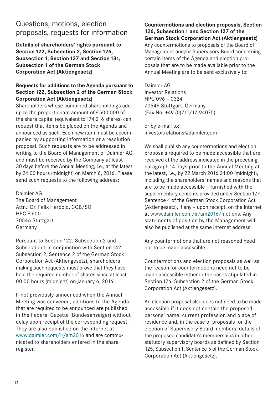## <span id="page-10-0"></span>Questions, motions, election proposals, requests for information

**Details of shareholders' rights pursuant to Section122, Subsection 2, Section126,**  Subsection 1, Section 127 and Section 131, **Subsection1 of the German Stock Corporation Act (Aktiengesetz)**

## **Requests for additions to the Agenda pursuant to Section122, Subsection 2 of the German Stock Corporation Act (Aktiengesetz)**

Shareholders whose combined shareholdings add up to the proportionate amount of €500,000 of the share capital (equivalent to 174,216 shares) can request that items be placed on the Agenda and announced as such. Each new item must be accompanied by supporting information or a resolution proposal. Such requests are to be addressed in writing to the Board of Management of Daimler AG and must be received by the Company at least 30 days before the Annual Meeting, i.e., at the latest by 24:00 hours (midnight) on March 6, 2016. Please send such requests to the following address:

Daimler AG The Board of Management Attn.: Dr. Felix Herbold, COB/SO HPC F 600 70546 Stuttgart Germany

Pursuant to Section 122, Subsection 2 and Subsection 1 in conjunction with Section 142, Subsection 2, Sentence 2 of the German Stock Corporation Act (Aktiengesetz), shareholders making such requests must prove that they have held the required number of shares since at least 00:00 hours (midnight) on January 6, 2016.

If not previously announced when the Annual Meeting was convened, additions to the Agenda that are required to be announced are published in the Federal Gazette (Bundesanzeiger) without delay upon receipt of the corresponding request. They are also published on the Internet at www.daimler.com/ir/am2016 and are communicated to shareholders entered in the share register.

**Countermotions and election proposals, Section**  126, Subsection 1 and Section 127 of the **German Stock Corporation Act (Aktiengesetz)** Any countermotions to proposals of the Board of Management and/or Supervisory Board concerning certain items of the Agenda and election proposals that are to be made available prior to the Annual Meeting are to be sent exclusively to:

Daimler AG Investor Relations HPC 096 – 0324 70546 Stuttgart, Germany (Fax No. +49 (0)711/17-94075)

or by e-mail to: investor.relations@daimler.com

We shall publish any countermotions and election proposals required to be made accessible that are received at the address indicated in the preceding paragraph14 days prior to the Annual Meeting at the latest, i.e., by 22 March 2016 24:00 (midnight), including the shareholders' names and reasons that are to be made accessible – furnished with the supplementary contents provided under Section 127, Sentence 4 of the German Stock Corporation Act (Aktiengesetz), if any – upon receipt, on the Internet at www.daimler.com/ir/am2016/motions. Any statements of position by the Management will also be published at the same Internet address.

Any countermotions that are not reasoned need not to be made accessible.

Countermotions and election proposals as well as the reason for countermotions need not to be made accessible either in the cases stipulated in Section 126, Subsection 2 of the German Stock Corporation Act (Aktiengesetz).

An election proposal also does not need to be made accessible if it does not contain the proposed persons' name, current profession and place of residence and, in the case of proposals for the election of Supervisory Board members, details of the proposed candidate's memberships in other statutory supervisory boards as defined by Section 125, Subsection 1, Sentence 5 of the German Stock Corporation Act (Aktiengesetz).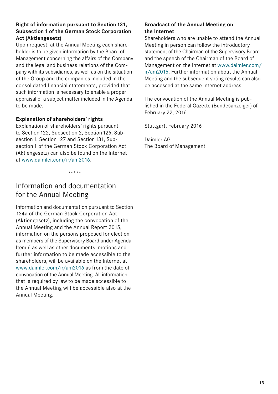## <span id="page-11-0"></span>**Right of information pursuant to Section131, Subsection1 of the German Stock Corporation Act (Aktiengesetz)**

Upon request, at the Annual Meeting each shareholder is to be given information by the Board of Management concerning the affairs of the Company and the legal and business relations of the Company with its subsidiaries, as well as on the situation of the Group and the companies included in the consolidated financial statements, provided that such information is necessary to enable a proper appraisal of a subject matter included in the Agenda to be made.

## **Explanation of shareholders' rights**

Explanation of shareholders' rights pursuant to Section 122, Subsection 2, Section 126, Subsection 1, Section 127 and Section 131, Subsection 1 of the German Stock Corporation Act (Aktiengesetz) can also be found on the Internet at www.daimler.com/ir/am2016.

\*\*\*\*\*

## Information and documentation for the Annual Meeting

Information and documentation pursuant to Section 124a of the German Stock Corporation Act (Aktiengesetz), including the convocation of the Annual Meeting and the Annual Report 2015, information on the persons proposed for election as members of the Supervisory Board under Agenda Item 6 as well as other documents, motions and further information to be made accessible to the shareholders, will be available on the Internet at www.daimler.com/ir/am2016 as from the date of convocation of the Annual Meeting. All information that is required by law to be made accessible to the Annual Meeting will be accessible also at the Annual Meeting.

## **Broadcast of the Annual Meeting on the Internet**

Shareholders who are unable to attend the Annual Meeting in person can follow the introductory statement of the Chairman of the Supervisory Board and the speech of the Chairman of the Board of Management on the Internet at www.daimler.com/ ir/am2016. Further information about the Annual Meeting and the subsequent voting results can also be accessed at the same Internet address.

The convocation of the Annual Meeting is published in the Federal Gazette (Bundesanzeiger) of February 22, 2016.

Stuttgart, February 2016

Daimler AG The Board of Management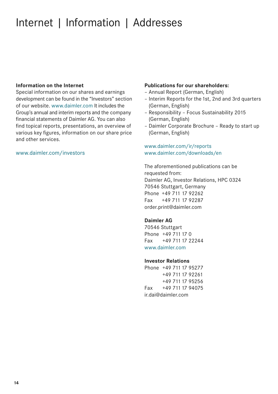## <span id="page-12-0"></span>Internet | Information | Addresses

#### **Information on the Internet**

Special information on our shares and earnings development can be found in the "Investors" section of our website. www.daimler.com It includes the Group's annual and interim reports and the company financial statements of Daimler AG. You can also find topical reports, presentations, an overview of various key figures, information on our share price and other services.

## www.daimler.com/investors

#### **Publications for our shareholders:**

- Annual Report (German, English)
- Interim Reports for the1st, 2nd and 3rd quarters (German, English)
- Responsibility Focus Sustainability 2015 (German, English)
- Daimler Corporate Brochure Ready to start up (German, English)

## www.daimler.com/ir/reports www.daimler.com/downloads/en

The aforementioned publications can be requested from: Daimler AG, Investor Relations, HPC 0324 70546 Stuttgart, Germany Phone +49 711 17 92262 Fax  +49 711 17 92287 order.print@daimler.com

#### **Daimler AG**

70546 Stuttgart Phone +49 711 17 0 Fax +49 711 17 22244 www.daimler.com

#### **Investor Relations**

Phone +49 71117 95277 +49 71117 92261 +49 71117 95256 Fax +49 71117 94075 ir.dai@daimler.com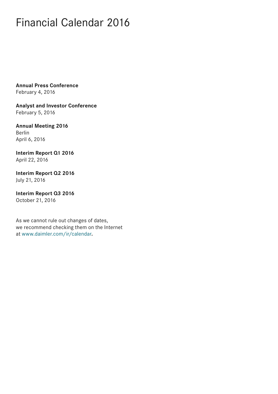## <span id="page-13-0"></span>Financial Calendar 2016

**Annual Press Conference** February 4, 2016

**Analyst and Investor Conference** February 5, 2016

**Annual Meeting 2016** Berlin April 6, 2016

**Interim Report Q1 2016** April 22, 2016

**Interim Report Q2 2016** July 21, 2016

**Interim Report Q3 2016** October 21, 2016

As we cannot rule out changes of dates, we recommend checking them on the Internet at www.daimler.com/ir/calendar**.**